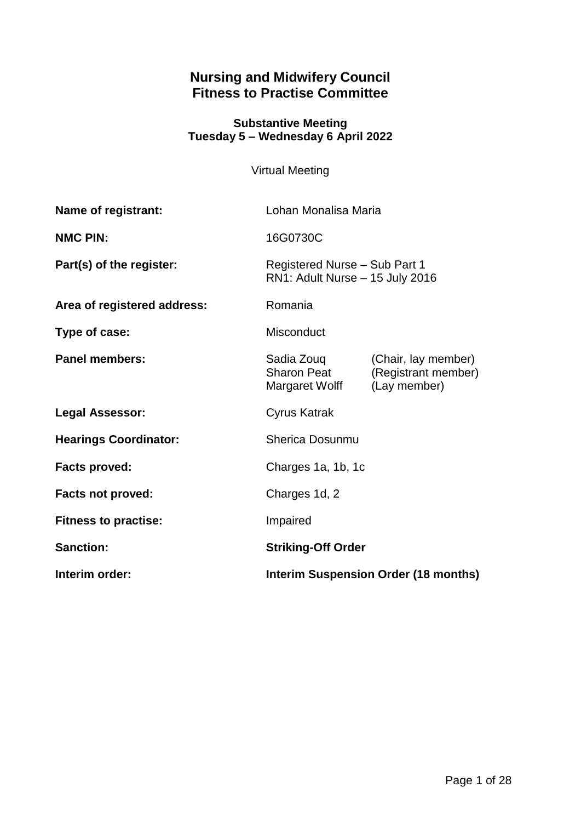# **Nursing and Midwifery Council Fitness to Practise Committee**

### **Substantive Meeting Tuesday 5 – Wednesday 6 April 2022**

Virtual Meeting

| <b>Name of registrant:</b>   | Lohan Monalisa Maria                                             |                                                            |
|------------------------------|------------------------------------------------------------------|------------------------------------------------------------|
| <b>NMC PIN:</b>              | 16G0730C                                                         |                                                            |
| Part(s) of the register:     | Registered Nurse - Sub Part 1<br>RN1: Adult Nurse - 15 July 2016 |                                                            |
| Area of registered address:  | Romania                                                          |                                                            |
| Type of case:                | <b>Misconduct</b>                                                |                                                            |
| <b>Panel members:</b>        | Sadia Zouq<br><b>Sharon Peat</b><br>Margaret Wolff               | (Chair, lay member)<br>(Registrant member)<br>(Lay member) |
| <b>Legal Assessor:</b>       | <b>Cyrus Katrak</b>                                              |                                                            |
| <b>Hearings Coordinator:</b> | Sherica Dosunmu                                                  |                                                            |
| <b>Facts proved:</b>         | Charges 1a, 1b, 1c                                               |                                                            |
| <b>Facts not proved:</b>     | Charges 1d, 2                                                    |                                                            |
| <b>Fitness to practise:</b>  | Impaired                                                         |                                                            |
| <b>Sanction:</b>             | <b>Striking-Off Order</b>                                        |                                                            |
| Interim order:               | <b>Interim Suspension Order (18 months)</b>                      |                                                            |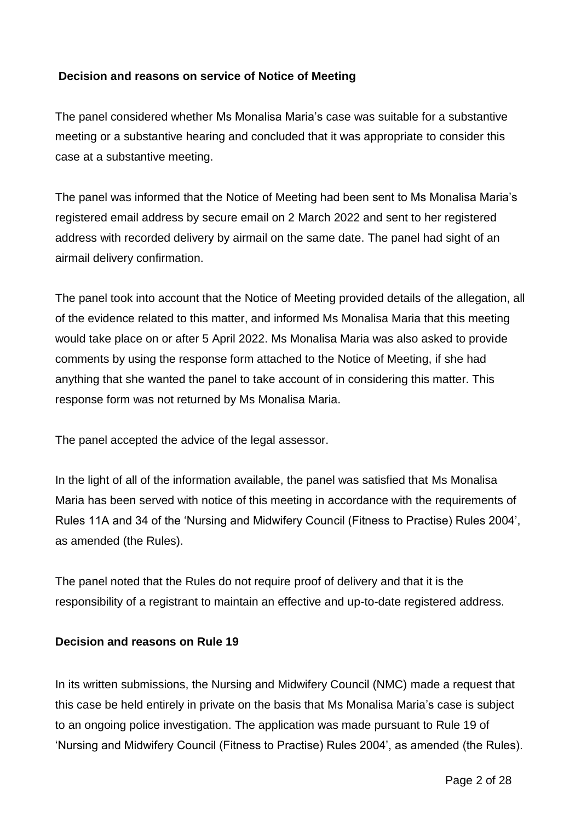# **Decision and reasons on service of Notice of Meeting**

The panel considered whether Ms Monalisa Maria's case was suitable for a substantive meeting or a substantive hearing and concluded that it was appropriate to consider this case at a substantive meeting.

The panel was informed that the Notice of Meeting had been sent to Ms Monalisa Maria's registered email address by secure email on 2 March 2022 and sent to her registered address with recorded delivery by airmail on the same date. The panel had sight of an airmail delivery confirmation.

The panel took into account that the Notice of Meeting provided details of the allegation, all of the evidence related to this matter, and informed Ms Monalisa Maria that this meeting would take place on or after 5 April 2022. Ms Monalisa Maria was also asked to provide comments by using the response form attached to the Notice of Meeting, if she had anything that she wanted the panel to take account of in considering this matter. This response form was not returned by Ms Monalisa Maria.

The panel accepted the advice of the legal assessor.

In the light of all of the information available, the panel was satisfied that Ms Monalisa Maria has been served with notice of this meeting in accordance with the requirements of Rules 11A and 34 of the 'Nursing and Midwifery Council (Fitness to Practise) Rules 2004', as amended (the Rules).

The panel noted that the Rules do not require proof of delivery and that it is the responsibility of a registrant to maintain an effective and up-to-date registered address.

### **Decision and reasons on Rule 19**

In its written submissions, the Nursing and Midwifery Council (NMC) made a request that this case be held entirely in private on the basis that Ms Monalisa Maria's case is subject to an ongoing police investigation. The application was made pursuant to Rule 19 of 'Nursing and Midwifery Council (Fitness to Practise) Rules 2004', as amended (the Rules).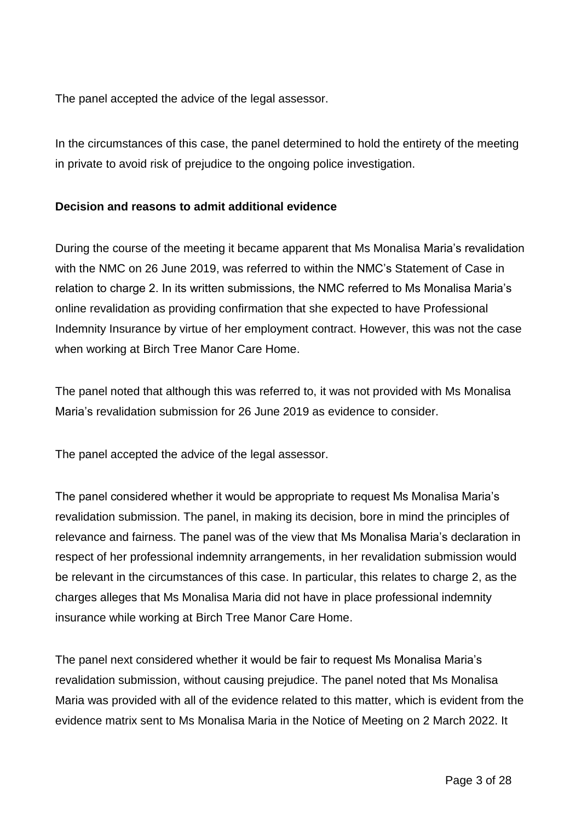The panel accepted the advice of the legal assessor.

In the circumstances of this case, the panel determined to hold the entirety of the meeting in private to avoid risk of prejudice to the ongoing police investigation.

# **Decision and reasons to admit additional evidence**

During the course of the meeting it became apparent that Ms Monalisa Maria's revalidation with the NMC on 26 June 2019, was referred to within the NMC's Statement of Case in relation to charge 2. In its written submissions, the NMC referred to Ms Monalisa Maria's online revalidation as providing confirmation that she expected to have Professional Indemnity Insurance by virtue of her employment contract. However, this was not the case when working at Birch Tree Manor Care Home.

The panel noted that although this was referred to, it was not provided with Ms Monalisa Maria's revalidation submission for 26 June 2019 as evidence to consider.

The panel accepted the advice of the legal assessor.

The panel considered whether it would be appropriate to request Ms Monalisa Maria's revalidation submission. The panel, in making its decision, bore in mind the principles of relevance and fairness. The panel was of the view that Ms Monalisa Maria's declaration in respect of her professional indemnity arrangements, in her revalidation submission would be relevant in the circumstances of this case. In particular, this relates to charge 2, as the charges alleges that Ms Monalisa Maria did not have in place professional indemnity insurance while working at Birch Tree Manor Care Home.

The panel next considered whether it would be fair to request Ms Monalisa Maria's revalidation submission, without causing prejudice. The panel noted that Ms Monalisa Maria was provided with all of the evidence related to this matter, which is evident from the evidence matrix sent to Ms Monalisa Maria in the Notice of Meeting on 2 March 2022. It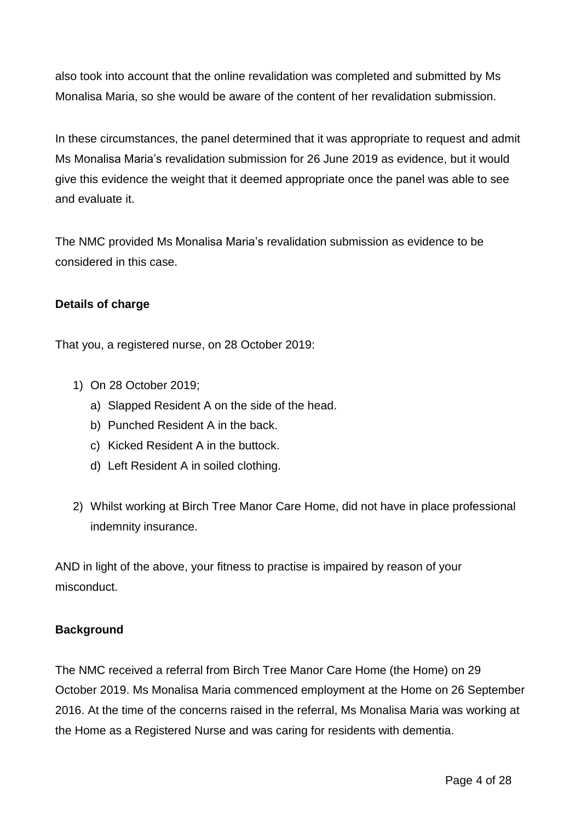also took into account that the online revalidation was completed and submitted by Ms Monalisa Maria, so she would be aware of the content of her revalidation submission.

In these circumstances, the panel determined that it was appropriate to request and admit Ms Monalisa Maria's revalidation submission for 26 June 2019 as evidence, but it would give this evidence the weight that it deemed appropriate once the panel was able to see and evaluate it.

The NMC provided Ms Monalisa Maria's revalidation submission as evidence to be considered in this case.

# **Details of charge**

That you, a registered nurse, on 28 October 2019:

- 1) On 28 October 2019;
	- a) Slapped Resident A on the side of the head.
	- b) Punched Resident A in the back.
	- c) Kicked Resident A in the buttock.
	- d) Left Resident A in soiled clothing.
- 2) Whilst working at Birch Tree Manor Care Home, did not have in place professional indemnity insurance.

AND in light of the above, your fitness to practise is impaired by reason of your misconduct.

# **Background**

The NMC received a referral from Birch Tree Manor Care Home (the Home) on 29 October 2019. Ms Monalisa Maria commenced employment at the Home on 26 September 2016. At the time of the concerns raised in the referral, Ms Monalisa Maria was working at the Home as a Registered Nurse and was caring for residents with dementia.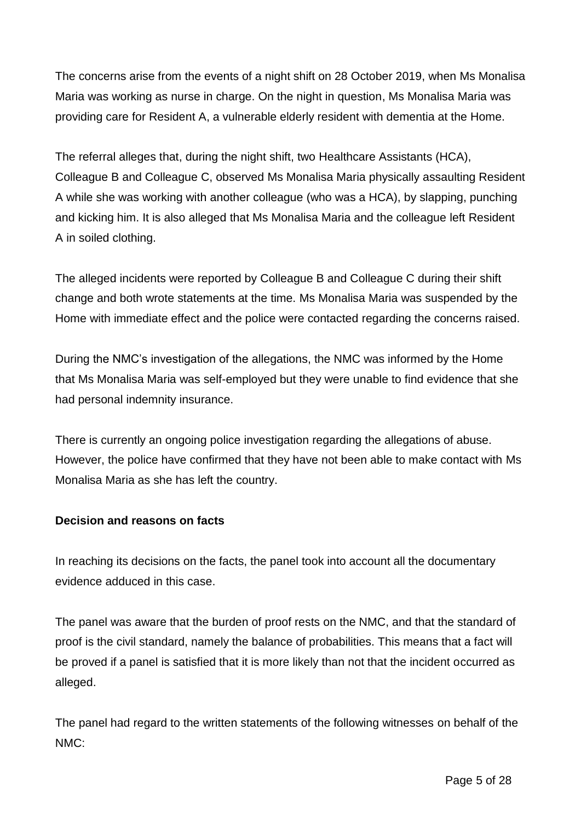The concerns arise from the events of a night shift on 28 October 2019, when Ms Monalisa Maria was working as nurse in charge. On the night in question, Ms Monalisa Maria was providing care for Resident A, a vulnerable elderly resident with dementia at the Home.

The referral alleges that, during the night shift, two Healthcare Assistants (HCA), Colleague B and Colleague C, observed Ms Monalisa Maria physically assaulting Resident A while she was working with another colleague (who was a HCA), by slapping, punching and kicking him. It is also alleged that Ms Monalisa Maria and the colleague left Resident A in soiled clothing.

The alleged incidents were reported by Colleague B and Colleague C during their shift change and both wrote statements at the time. Ms Monalisa Maria was suspended by the Home with immediate effect and the police were contacted regarding the concerns raised.

During the NMC's investigation of the allegations, the NMC was informed by the Home that Ms Monalisa Maria was self-employed but they were unable to find evidence that she had personal indemnity insurance.

There is currently an ongoing police investigation regarding the allegations of abuse. However, the police have confirmed that they have not been able to make contact with Ms Monalisa Maria as she has left the country.

# **Decision and reasons on facts**

In reaching its decisions on the facts, the panel took into account all the documentary evidence adduced in this case.

The panel was aware that the burden of proof rests on the NMC, and that the standard of proof is the civil standard, namely the balance of probabilities. This means that a fact will be proved if a panel is satisfied that it is more likely than not that the incident occurred as alleged.

The panel had regard to the written statements of the following witnesses on behalf of the NMC: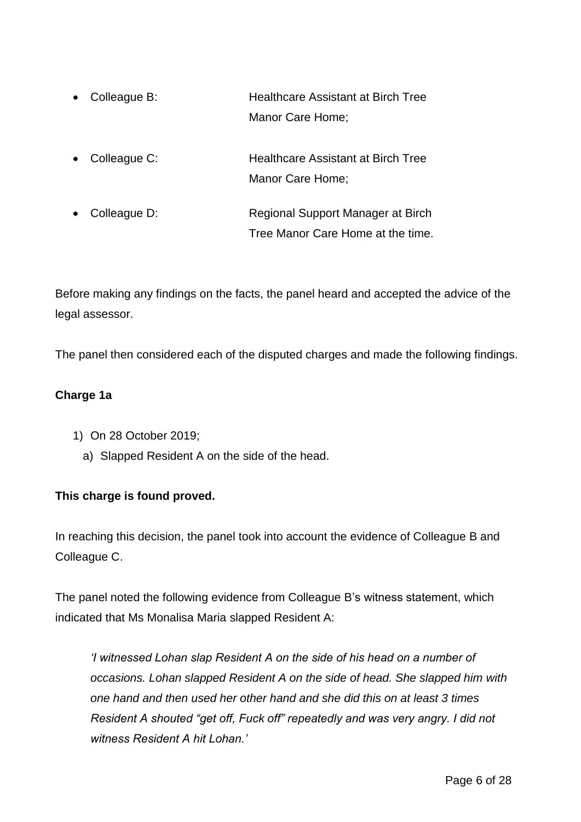- Colleague B: Healthcare Assistant at Birch Tree Manor Care Home;
- Colleague C: Healthcare Assistant at Birch Tree Manor Care Home;
- Colleague D: Regional Support Manager at Birch Tree Manor Care Home at the time.

Before making any findings on the facts, the panel heard and accepted the advice of the legal assessor.

The panel then considered each of the disputed charges and made the following findings.

# **Charge 1a**

- 1) On 28 October 2019;
	- a) Slapped Resident A on the side of the head.

# **This charge is found proved.**

In reaching this decision, the panel took into account the evidence of Colleague B and Colleague C.

The panel noted the following evidence from Colleague B's witness statement, which indicated that Ms Monalisa Maria slapped Resident A:

*'I witnessed Lohan slap Resident A on the side of his head on a number of occasions. Lohan slapped Resident A on the side of head. She slapped him with one hand and then used her other hand and she did this on at least 3 times Resident A shouted "get off, Fuck off" repeatedly and was very angry. I did not witness Resident A hit Lohan.'*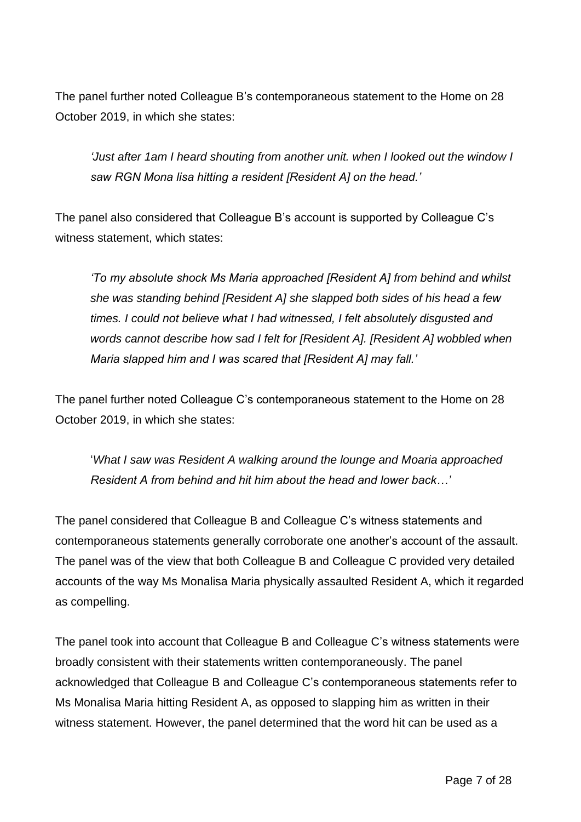The panel further noted Colleague B's contemporaneous statement to the Home on 28 October 2019, in which she states:

*'Just after 1am I heard shouting from another unit. when I looked out the window I saw RGN Mona lisa hitting a resident [Resident A] on the head.'* 

The panel also considered that Colleague B's account is supported by Colleague C's witness statement, which states:

*'To my absolute shock Ms Maria approached [Resident A] from behind and whilst she was standing behind [Resident A] she slapped both sides of his head a few times. I could not believe what I had witnessed, I felt absolutely disgusted and words cannot describe how sad I felt for [Resident A]. [Resident A] wobbled when Maria slapped him and I was scared that [Resident A] may fall.'* 

The panel further noted Colleague C's contemporaneous statement to the Home on 28 October 2019, in which she states:

'*What I saw was Resident A walking around the lounge and Moaria approached Resident A from behind and hit him about the head and lower back…'* 

The panel considered that Colleague B and Colleague C's witness statements and contemporaneous statements generally corroborate one another's account of the assault. The panel was of the view that both Colleague B and Colleague C provided very detailed accounts of the way Ms Monalisa Maria physically assaulted Resident A, which it regarded as compelling.

The panel took into account that Colleague B and Colleague C's witness statements were broadly consistent with their statements written contemporaneously. The panel acknowledged that Colleague B and Colleague C's contemporaneous statements refer to Ms Monalisa Maria hitting Resident A, as opposed to slapping him as written in their witness statement. However, the panel determined that the word hit can be used as a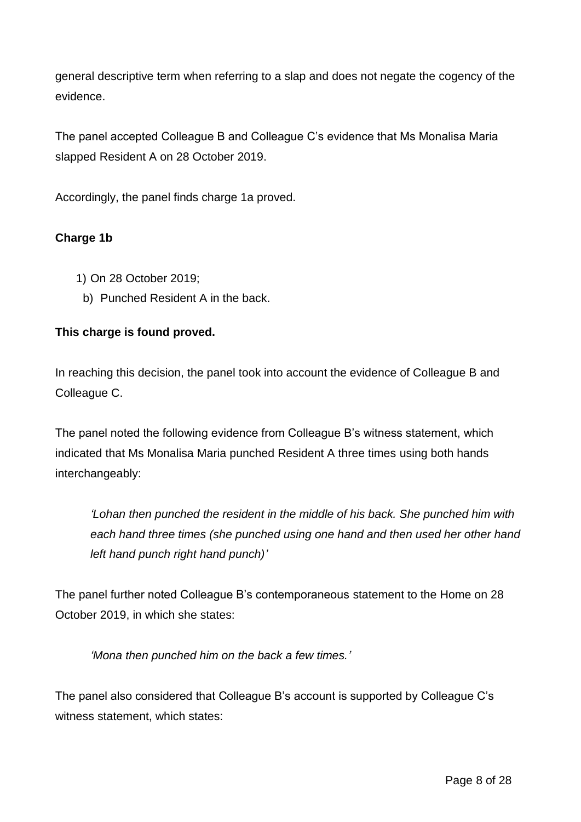general descriptive term when referring to a slap and does not negate the cogency of the evidence.

The panel accepted Colleague B and Colleague C's evidence that Ms Monalisa Maria slapped Resident A on 28 October 2019.

Accordingly, the panel finds charge 1a proved.

# **Charge 1b**

- 1) On 28 October 2019;
	- b) Punched Resident A in the back.

# **This charge is found proved.**

In reaching this decision, the panel took into account the evidence of Colleague B and Colleague C.

The panel noted the following evidence from Colleague B's witness statement, which indicated that Ms Monalisa Maria punched Resident A three times using both hands interchangeably:

*'Lohan then punched the resident in the middle of his back. She punched him with each hand three times (she punched using one hand and then used her other hand left hand punch right hand punch)'* 

The panel further noted Colleague B's contemporaneous statement to the Home on 28 October 2019, in which she states:

*'Mona then punched him on the back a few times.'* 

The panel also considered that Colleague B's account is supported by Colleague C's witness statement, which states: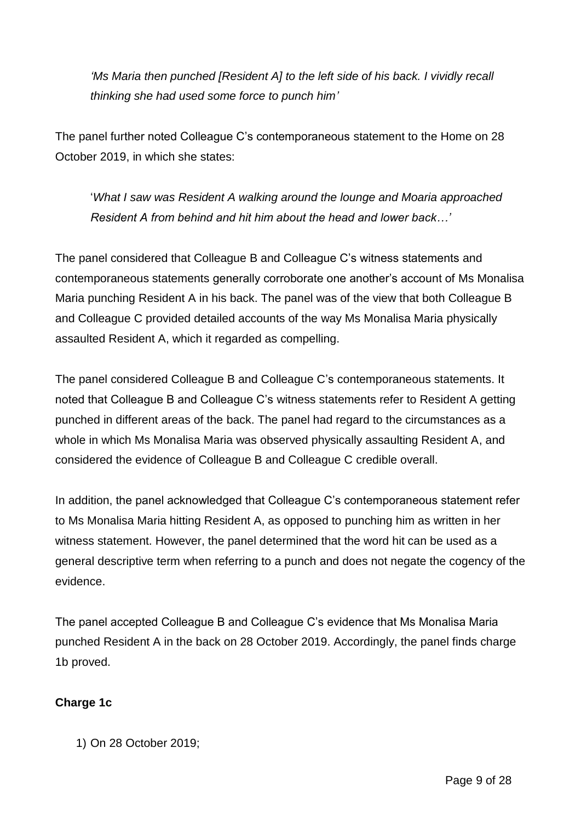*'Ms Maria then punched [Resident A] to the left side of his back. I vividly recall thinking she had used some force to punch him'* 

The panel further noted Colleague C's contemporaneous statement to the Home on 28 October 2019, in which she states:

'*What I saw was Resident A walking around the lounge and Moaria approached Resident A from behind and hit him about the head and lower back…'* 

The panel considered that Colleague B and Colleague C's witness statements and contemporaneous statements generally corroborate one another's account of Ms Monalisa Maria punching Resident A in his back. The panel was of the view that both Colleague B and Colleague C provided detailed accounts of the way Ms Monalisa Maria physically assaulted Resident A, which it regarded as compelling.

The panel considered Colleague B and Colleague C's contemporaneous statements. It noted that Colleague B and Colleague C's witness statements refer to Resident A getting punched in different areas of the back. The panel had regard to the circumstances as a whole in which Ms Monalisa Maria was observed physically assaulting Resident A, and considered the evidence of Colleague B and Colleague C credible overall.

In addition, the panel acknowledged that Colleague C's contemporaneous statement refer to Ms Monalisa Maria hitting Resident A, as opposed to punching him as written in her witness statement. However, the panel determined that the word hit can be used as a general descriptive term when referring to a punch and does not negate the cogency of the evidence.

The panel accepted Colleague B and Colleague C's evidence that Ms Monalisa Maria punched Resident A in the back on 28 October 2019. Accordingly, the panel finds charge 1b proved.

# **Charge 1c**

1) On 28 October 2019;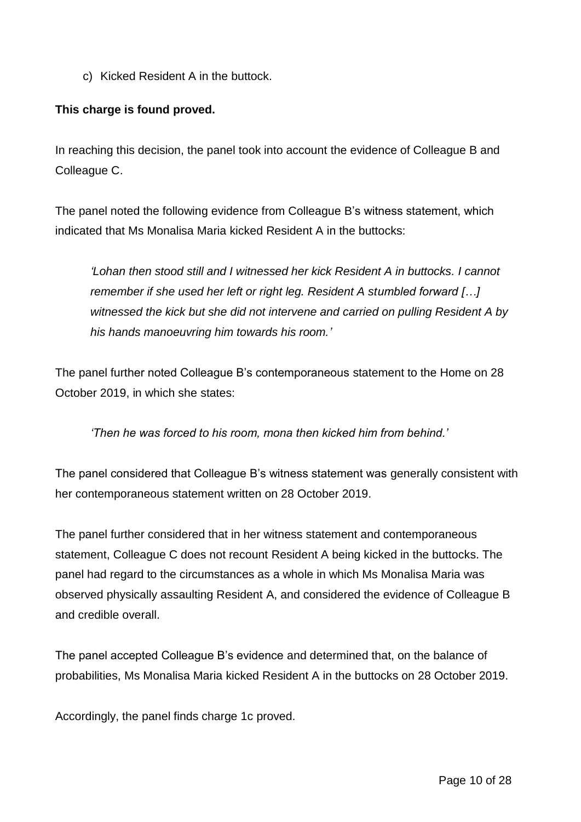c) Kicked Resident A in the buttock.

# **This charge is found proved.**

In reaching this decision, the panel took into account the evidence of Colleague B and Colleague C.

The panel noted the following evidence from Colleague B's witness statement, which indicated that Ms Monalisa Maria kicked Resident A in the buttocks:

*'Lohan then stood still and I witnessed her kick Resident A in buttocks. I cannot remember if she used her left or right leg. Resident A stumbled forward […] witnessed the kick but she did not intervene and carried on pulling Resident A by his hands manoeuvring him towards his room.'* 

The panel further noted Colleague B's contemporaneous statement to the Home on 28 October 2019, in which she states:

*'Then he was forced to his room, mona then kicked him from behind.'* 

The panel considered that Colleague B's witness statement was generally consistent with her contemporaneous statement written on 28 October 2019.

The panel further considered that in her witness statement and contemporaneous statement, Colleague C does not recount Resident A being kicked in the buttocks. The panel had regard to the circumstances as a whole in which Ms Monalisa Maria was observed physically assaulting Resident A, and considered the evidence of Colleague B and credible overall.

The panel accepted Colleague B's evidence and determined that, on the balance of probabilities, Ms Monalisa Maria kicked Resident A in the buttocks on 28 October 2019.

Accordingly, the panel finds charge 1c proved.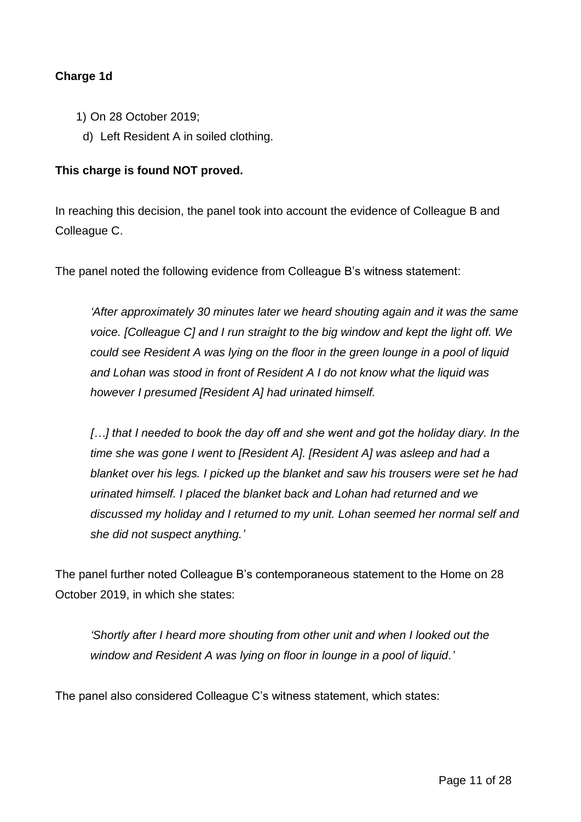# **Charge 1d**

- 1) On 28 October 2019;
- d) Left Resident A in soiled clothing.

# **This charge is found NOT proved.**

In reaching this decision, the panel took into account the evidence of Colleague B and Colleague C.

The panel noted the following evidence from Colleague B's witness statement:

*'After approximately 30 minutes later we heard shouting again and it was the same voice. [Colleague C] and I run straight to the big window and kept the light off. We could see Resident A was lying on the floor in the green lounge in a pool of liquid and Lohan was stood in front of Resident A I do not know what the liquid was however I presumed [Resident A] had urinated himself.*

*[…] that I needed to book the day off and she went and got the holiday diary. In the time she was gone I went to [Resident A]. [Resident A] was asleep and had a blanket over his legs. I picked up the blanket and saw his trousers were set he had urinated himself. I placed the blanket back and Lohan had returned and we discussed my holiday and I returned to my unit. Lohan seemed her normal self and she did not suspect anything.'*

The panel further noted Colleague B's contemporaneous statement to the Home on 28 October 2019, in which she states:

*'Shortly after I heard more shouting from other unit and when I looked out the window and Resident A was lying on floor in lounge in a pool of liquid.'* 

The panel also considered Colleague C's witness statement, which states: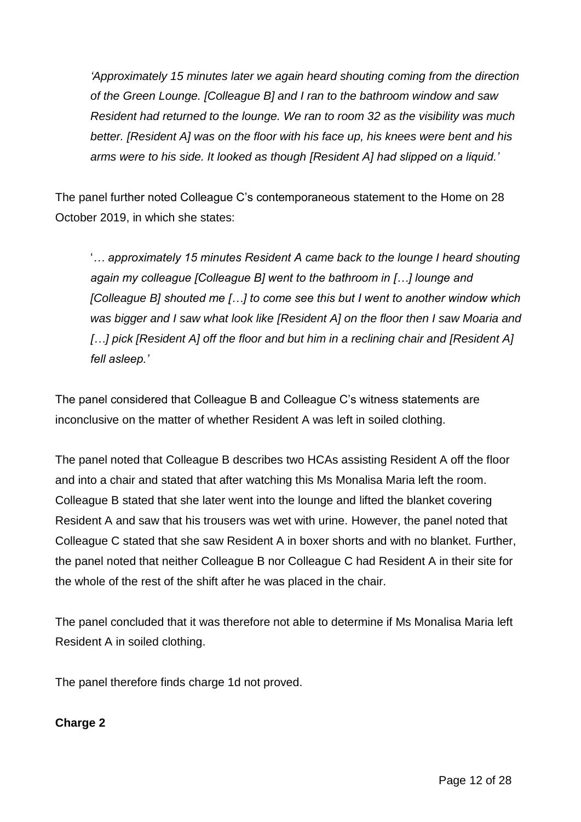*'Approximately 15 minutes later we again heard shouting coming from the direction of the Green Lounge. [Colleague B] and I ran to the bathroom window and saw Resident had returned to the lounge. We ran to room 32 as the visibility was much better. [Resident A] was on the floor with his face up, his knees were bent and his arms were to his side. It looked as though [Resident A] had slipped on a liquid.'* 

The panel further noted Colleague C's contemporaneous statement to the Home on 28 October 2019, in which she states:

'*… approximately 15 minutes Resident A came back to the lounge I heard shouting again my colleague [Colleague B] went to the bathroom in […] lounge and [Colleague B] shouted me […] to come see this but I went to another window which was bigger and I saw what look like [Resident A] on the floor then I saw Moaria and […] pick [Resident A] off the floor and but him in a reclining chair and [Resident A] fell asleep.'*

The panel considered that Colleague B and Colleague C's witness statements are inconclusive on the matter of whether Resident A was left in soiled clothing.

The panel noted that Colleague B describes two HCAs assisting Resident A off the floor and into a chair and stated that after watching this Ms Monalisa Maria left the room. Colleague B stated that she later went into the lounge and lifted the blanket covering Resident A and saw that his trousers was wet with urine. However, the panel noted that Colleague C stated that she saw Resident A in boxer shorts and with no blanket. Further, the panel noted that neither Colleague B nor Colleague C had Resident A in their site for the whole of the rest of the shift after he was placed in the chair.

The panel concluded that it was therefore not able to determine if Ms Monalisa Maria left Resident A in soiled clothing.

The panel therefore finds charge 1d not proved.

# **Charge 2**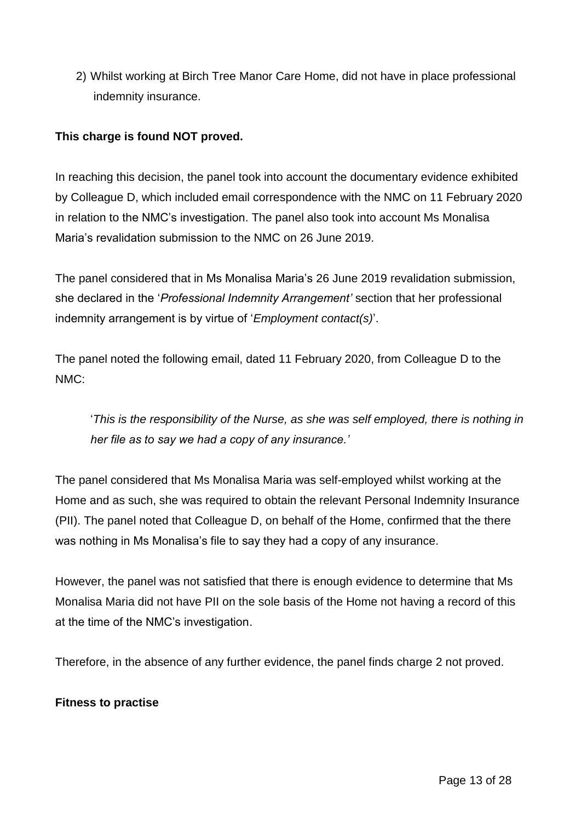2) Whilst working at Birch Tree Manor Care Home, did not have in place professional indemnity insurance.

# **This charge is found NOT proved.**

In reaching this decision, the panel took into account the documentary evidence exhibited by Colleague D, which included email correspondence with the NMC on 11 February 2020 in relation to the NMC's investigation. The panel also took into account Ms Monalisa Maria's revalidation submission to the NMC on 26 June 2019.

The panel considered that in Ms Monalisa Maria's 26 June 2019 revalidation submission, she declared in the '*Professional Indemnity Arrangement'* section that her professional indemnity arrangement is by virtue of '*Employment contact(s)*'.

The panel noted the following email, dated 11 February 2020, from Colleague D to the NMC:

'*This is the responsibility of the Nurse, as she was self employed, there is nothing in her file as to say we had a copy of any insurance.'*

The panel considered that Ms Monalisa Maria was self-employed whilst working at the Home and as such, she was required to obtain the relevant Personal Indemnity Insurance (PII). The panel noted that Colleague D, on behalf of the Home, confirmed that the there was nothing in Ms Monalisa's file to say they had a copy of any insurance.

However, the panel was not satisfied that there is enough evidence to determine that Ms Monalisa Maria did not have PII on the sole basis of the Home not having a record of this at the time of the NMC's investigation.

Therefore, in the absence of any further evidence, the panel finds charge 2 not proved.

### **Fitness to practise**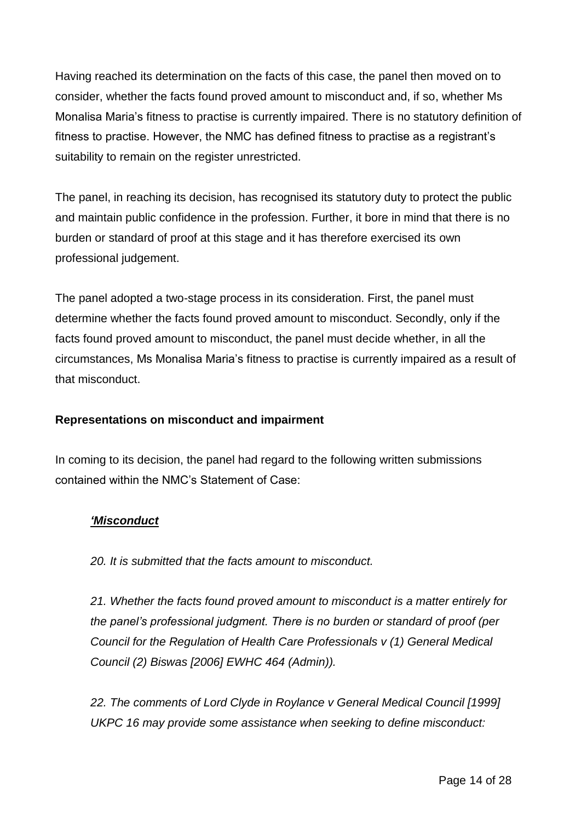Having reached its determination on the facts of this case, the panel then moved on to consider, whether the facts found proved amount to misconduct and, if so, whether Ms Monalisa Maria's fitness to practise is currently impaired. There is no statutory definition of fitness to practise. However, the NMC has defined fitness to practise as a registrant's suitability to remain on the register unrestricted.

The panel, in reaching its decision, has recognised its statutory duty to protect the public and maintain public confidence in the profession. Further, it bore in mind that there is no burden or standard of proof at this stage and it has therefore exercised its own professional judgement.

The panel adopted a two-stage process in its consideration. First, the panel must determine whether the facts found proved amount to misconduct. Secondly, only if the facts found proved amount to misconduct, the panel must decide whether, in all the circumstances, Ms Monalisa Maria's fitness to practise is currently impaired as a result of that misconduct.

# **Representations on misconduct and impairment**

In coming to its decision, the panel had regard to the following written submissions contained within the NMC's Statement of Case:

# *'Misconduct*

*20. It is submitted that the facts amount to misconduct.*

*21. Whether the facts found proved amount to misconduct is a matter entirely for the panel's professional judgment. There is no burden or standard of proof (per Council for the Regulation of Health Care Professionals v (1) General Medical Council (2) Biswas [2006] EWHC 464 (Admin)).*

*22. The comments of Lord Clyde in Roylance v General Medical Council [1999] UKPC 16 may provide some assistance when seeking to define misconduct:*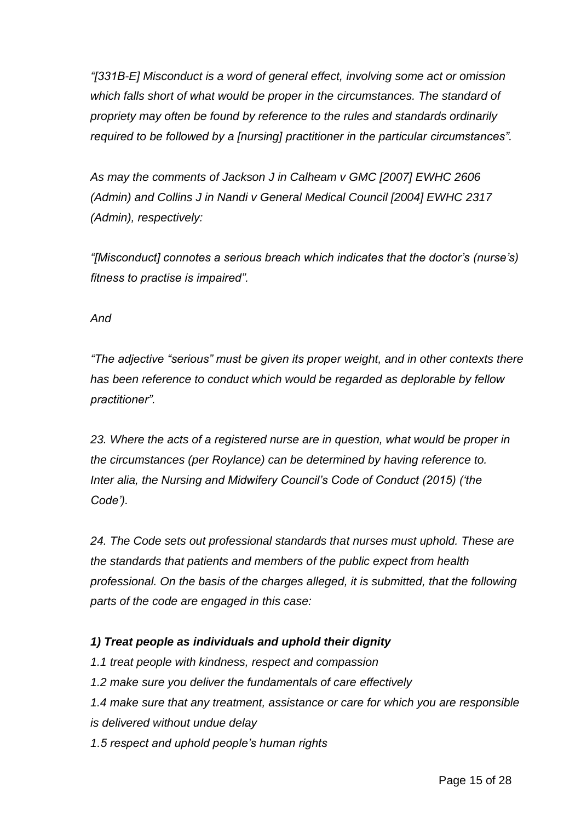*"[331B-E] Misconduct is a word of general effect, involving some act or omission which falls short of what would be proper in the circumstances. The standard of propriety may often be found by reference to the rules and standards ordinarily required to be followed by a [nursing] practitioner in the particular circumstances".*

*As may the comments of Jackson J in Calheam v GMC [2007] EWHC 2606 (Admin) and Collins J in Nandi v General Medical Council [2004] EWHC 2317 (Admin), respectively:*

*"[Misconduct] connotes a serious breach which indicates that the doctor's (nurse's) fitness to practise is impaired".*

*And*

*"The adjective "serious" must be given its proper weight, and in other contexts there has been reference to conduct which would be regarded as deplorable by fellow practitioner".*

*23. Where the acts of a registered nurse are in question, what would be proper in the circumstances (per Roylance) can be determined by having reference to. Inter alia, the Nursing and Midwifery Council's Code of Conduct (2015) ('the Code').*

*24. The Code sets out professional standards that nurses must uphold. These are the standards that patients and members of the public expect from health professional. On the basis of the charges alleged, it is submitted, that the following parts of the code are engaged in this case:*

# *1) Treat people as individuals and uphold their dignity*

*1.1 treat people with kindness, respect and compassion 1.2 make sure you deliver the fundamentals of care effectively 1.4 make sure that any treatment, assistance or care for which you are responsible is delivered without undue delay 1.5 respect and uphold people's human rights*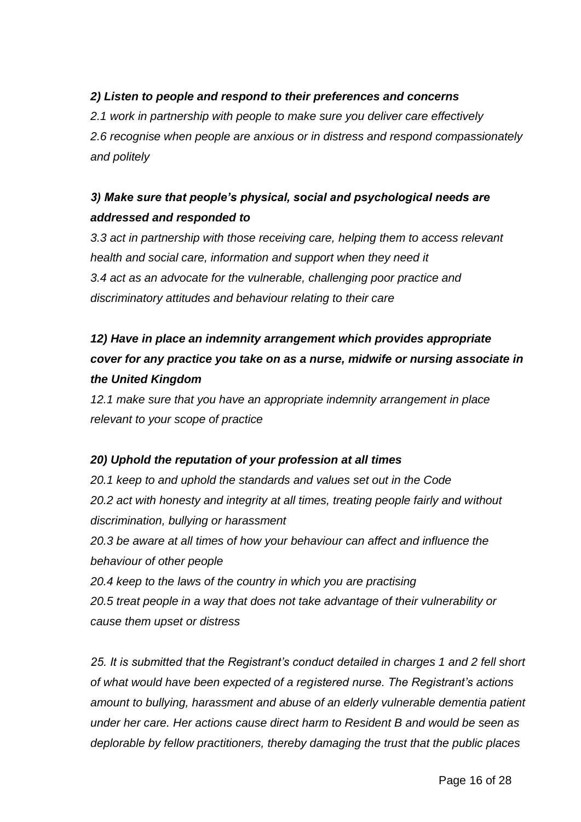# *2) Listen to people and respond to their preferences and concerns*

*2.1 work in partnership with people to make sure you deliver care effectively 2.6 recognise when people are anxious or in distress and respond compassionately and politely*

# *3) Make sure that people's physical, social and psychological needs are addressed and responded to*

*3.3 act in partnership with those receiving care, helping them to access relevant health and social care, information and support when they need it 3.4 act as an advocate for the vulnerable, challenging poor practice and discriminatory attitudes and behaviour relating to their care*

# *12) Have in place an indemnity arrangement which provides appropriate cover for any practice you take on as a nurse, midwife or nursing associate in the United Kingdom*

*12.1 make sure that you have an appropriate indemnity arrangement in place relevant to your scope of practice*

# *20) Uphold the reputation of your profession at all times*

*20.1 keep to and uphold the standards and values set out in the Code 20.2 act with honesty and integrity at all times, treating people fairly and without discrimination, bullying or harassment*

*20.3 be aware at all times of how your behaviour can affect and influence the behaviour of other people*

*20.4 keep to the laws of the country in which you are practising 20.5 treat people in a way that does not take advantage of their vulnerability or cause them upset or distress*

*25. It is submitted that the Registrant's conduct detailed in charges 1 and 2 fell short of what would have been expected of a registered nurse. The Registrant's actions amount to bullying, harassment and abuse of an elderly vulnerable dementia patient under her care. Her actions cause direct harm to Resident B and would be seen as deplorable by fellow practitioners, thereby damaging the trust that the public places*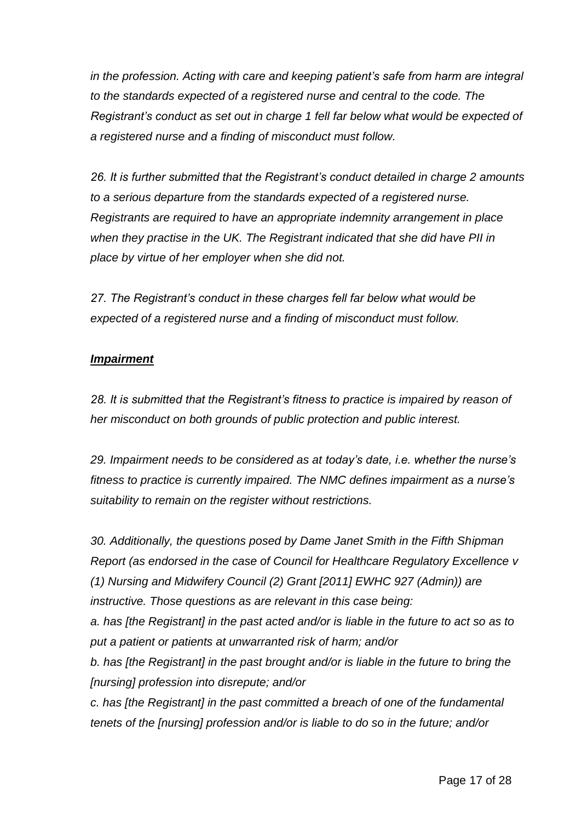*in the profession. Acting with care and keeping patient's safe from harm are integral to the standards expected of a registered nurse and central to the code. The Registrant's conduct as set out in charge 1 fell far below what would be expected of a registered nurse and a finding of misconduct must follow.*

*26. It is further submitted that the Registrant's conduct detailed in charge 2 amounts to a serious departure from the standards expected of a registered nurse. Registrants are required to have an appropriate indemnity arrangement in place when they practise in the UK. The Registrant indicated that she did have PII in place by virtue of her employer when she did not.*

*27. The Registrant's conduct in these charges fell far below what would be expected of a registered nurse and a finding of misconduct must follow.*

### *Impairment*

*28. It is submitted that the Registrant's fitness to practice is impaired by reason of her misconduct on both grounds of public protection and public interest.*

*29. Impairment needs to be considered as at today's date, i.e. whether the nurse's fitness to practice is currently impaired. The NMC defines impairment as a nurse's suitability to remain on the register without restrictions.*

*30. Additionally, the questions posed by Dame Janet Smith in the Fifth Shipman Report (as endorsed in the case of Council for Healthcare Regulatory Excellence v (1) Nursing and Midwifery Council (2) Grant [2011] EWHC 927 (Admin)) are instructive. Those questions as are relevant in this case being:*

*a. has [the Registrant] in the past acted and/or is liable in the future to act so as to put a patient or patients at unwarranted risk of harm; and/or*

*b. has [the Registrant] in the past brought and/or is liable in the future to bring the [nursing] profession into disrepute; and/or*

*c. has [the Registrant] in the past committed a breach of one of the fundamental tenets of the [nursing] profession and/or is liable to do so in the future; and/or*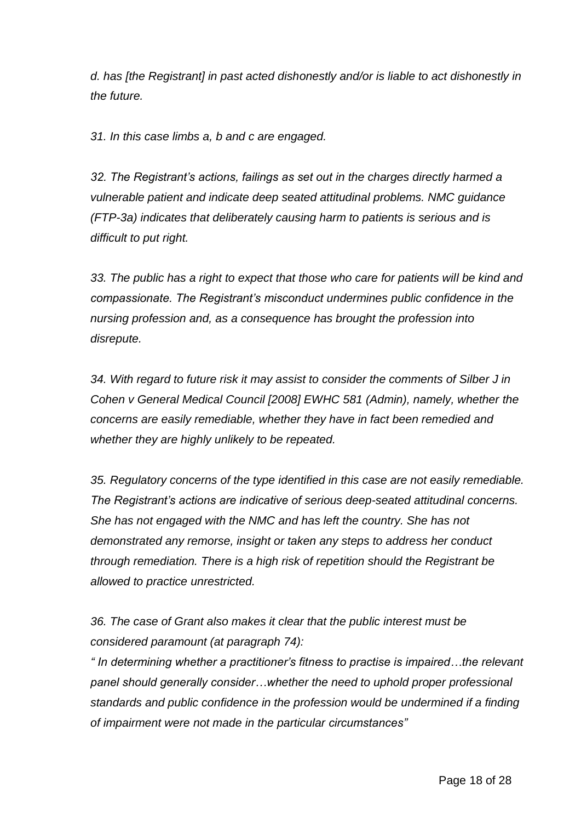*d. has [the Registrant] in past acted dishonestly and/or is liable to act dishonestly in the future.*

*31. In this case limbs a, b and c are engaged.*

*32. The Registrant's actions, failings as set out in the charges directly harmed a vulnerable patient and indicate deep seated attitudinal problems. NMC guidance (FTP-3a) indicates that deliberately causing harm to patients is serious and is difficult to put right.*

*33. The public has a right to expect that those who care for patients will be kind and compassionate. The Registrant's misconduct undermines public confidence in the nursing profession and, as a consequence has brought the profession into disrepute.*

*34. With regard to future risk it may assist to consider the comments of Silber J in Cohen v General Medical Council [2008] EWHC 581 (Admin), namely, whether the concerns are easily remediable, whether they have in fact been remedied and whether they are highly unlikely to be repeated.*

*35. Regulatory concerns of the type identified in this case are not easily remediable. The Registrant's actions are indicative of serious deep-seated attitudinal concerns. She has not engaged with the NMC and has left the country. She has not demonstrated any remorse, insight or taken any steps to address her conduct through remediation. There is a high risk of repetition should the Registrant be allowed to practice unrestricted.*

*36. The case of Grant also makes it clear that the public interest must be considered paramount (at paragraph 74):*

*" In determining whether a practitioner's fitness to practise is impaired…the relevant panel should generally consider…whether the need to uphold proper professional standards and public confidence in the profession would be undermined if a finding of impairment were not made in the particular circumstances"*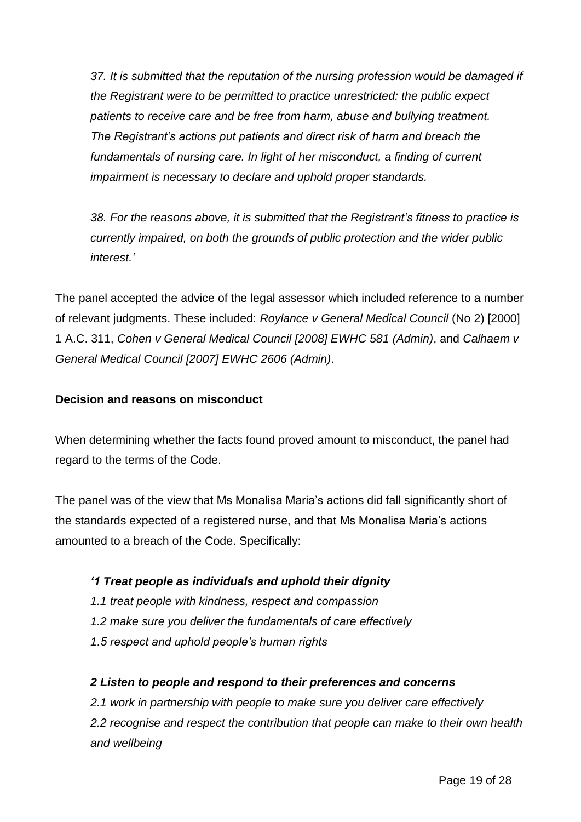*37. It is submitted that the reputation of the nursing profession would be damaged if the Registrant were to be permitted to practice unrestricted: the public expect patients to receive care and be free from harm, abuse and bullying treatment. The Registrant's actions put patients and direct risk of harm and breach the fundamentals of nursing care. In light of her misconduct, a finding of current impairment is necessary to declare and uphold proper standards.*

*38. For the reasons above, it is submitted that the Registrant's fitness to practice is currently impaired, on both the grounds of public protection and the wider public interest.'*

The panel accepted the advice of the legal assessor which included reference to a number of relevant judgments. These included: *Roylance v General Medical Council* (No 2) [2000] 1 A.C. 311, *Cohen v General Medical Council [2008] EWHC 581 (Admin)*, and *Calhaem v General Medical Council [2007] EWHC 2606 (Admin)*.

# **Decision and reasons on misconduct**

When determining whether the facts found proved amount to misconduct, the panel had regard to the terms of the Code.

The panel was of the view that Ms Monalisa Maria's actions did fall significantly short of the standards expected of a registered nurse, and that Ms Monalisa Maria's actions amounted to a breach of the Code. Specifically:

# *'1 Treat people as individuals and uphold their dignity*

- *1.1 treat people with kindness, respect and compassion*
- *1.2 make sure you deliver the fundamentals of care effectively*
- *1.5 respect and uphold people's human rights*

# *2 Listen to people and respond to their preferences and concerns*

*2.1 work in partnership with people to make sure you deliver care effectively 2.2 recognise and respect the contribution that people can make to their own health and wellbeing*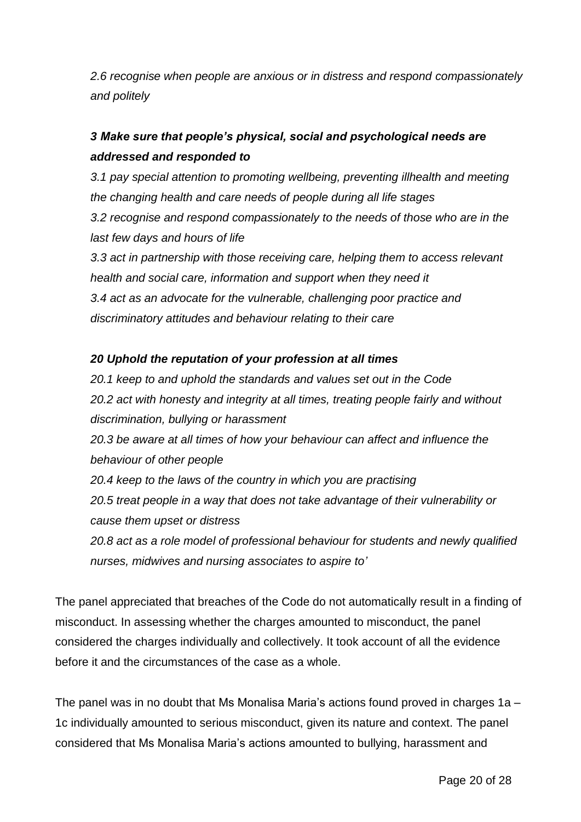*2.6 recognise when people are anxious or in distress and respond compassionately and politely*

# *3 Make sure that people's physical, social and psychological needs are addressed and responded to*

*3.1 pay special attention to promoting wellbeing, preventing illhealth and meeting the changing health and care needs of people during all life stages*

*3.2 recognise and respond compassionately to the needs of those who are in the last few days and hours of life*

*3.3 act in partnership with those receiving care, helping them to access relevant health and social care, information and support when they need it 3.4 act as an advocate for the vulnerable, challenging poor practice and discriminatory attitudes and behaviour relating to their care*

# *20 Uphold the reputation of your profession at all times*

*20.1 keep to and uphold the standards and values set out in the Code 20.2 act with honesty and integrity at all times, treating people fairly and without discrimination, bullying or harassment 20.3 be aware at all times of how your behaviour can affect and influence the behaviour of other people 20.4 keep to the laws of the country in which you are practising 20.5 treat people in a way that does not take advantage of their vulnerability or cause them upset or distress 20.8 act as a role model of professional behaviour for students and newly qualified nurses, midwives and nursing associates to aspire to'*

The panel appreciated that breaches of the Code do not automatically result in a finding of misconduct. In assessing whether the charges amounted to misconduct, the panel considered the charges individually and collectively. It took account of all the evidence before it and the circumstances of the case as a whole.

The panel was in no doubt that Ms Monalisa Maria's actions found proved in charges 1a – 1c individually amounted to serious misconduct, given its nature and context. The panel considered that Ms Monalisa Maria's actions amounted to bullying, harassment and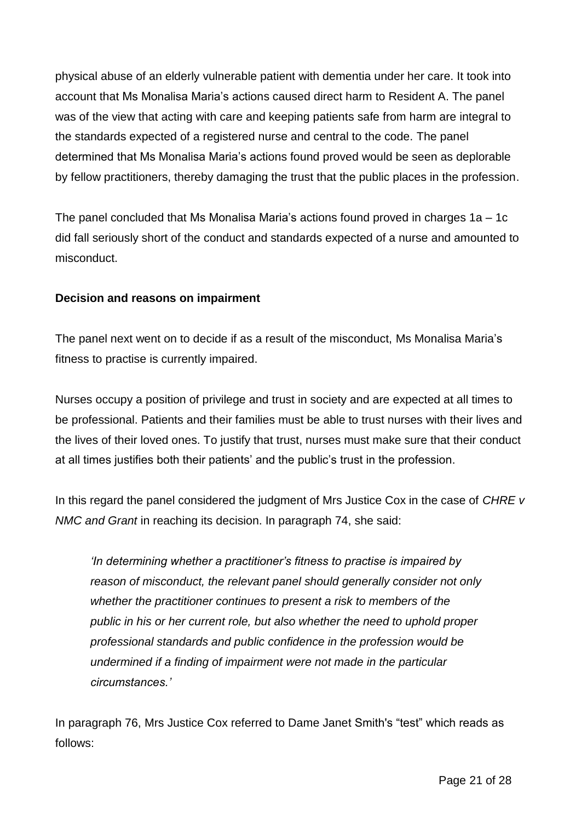physical abuse of an elderly vulnerable patient with dementia under her care. It took into account that Ms Monalisa Maria's actions caused direct harm to Resident A. The panel was of the view that acting with care and keeping patients safe from harm are integral to the standards expected of a registered nurse and central to the code. The panel determined that Ms Monalisa Maria's actions found proved would be seen as deplorable by fellow practitioners, thereby damaging the trust that the public places in the profession.

The panel concluded that Ms Monalisa Maria's actions found proved in charges 1a – 1c did fall seriously short of the conduct and standards expected of a nurse and amounted to misconduct.

# **Decision and reasons on impairment**

The panel next went on to decide if as a result of the misconduct, Ms Monalisa Maria's fitness to practise is currently impaired.

Nurses occupy a position of privilege and trust in society and are expected at all times to be professional. Patients and their families must be able to trust nurses with their lives and the lives of their loved ones. To justify that trust, nurses must make sure that their conduct at all times justifies both their patients' and the public's trust in the profession.

In this regard the panel considered the judgment of Mrs Justice Cox in the case of *CHRE v NMC and Grant* in reaching its decision. In paragraph 74, she said:

*'In determining whether a practitioner's fitness to practise is impaired by reason of misconduct, the relevant panel should generally consider not only whether the practitioner continues to present a risk to members of the public in his or her current role, but also whether the need to uphold proper professional standards and public confidence in the profession would be undermined if a finding of impairment were not made in the particular circumstances.'*

In paragraph 76, Mrs Justice Cox referred to Dame Janet Smith's "test" which reads as follows: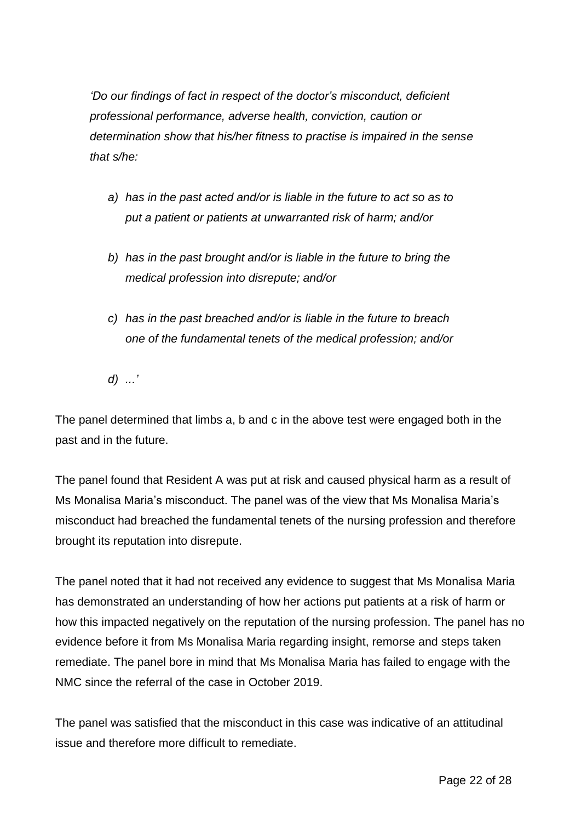*'Do our findings of fact in respect of the doctor's misconduct, deficient professional performance, adverse health, conviction, caution or determination show that his/her fitness to practise is impaired in the sense that s/he:*

- *a) has in the past acted and/or is liable in the future to act so as to put a patient or patients at unwarranted risk of harm; and/or*
- *b) has in the past brought and/or is liable in the future to bring the medical profession into disrepute; and/or*
- *c) has in the past breached and/or is liable in the future to breach one of the fundamental tenets of the medical profession; and/or*
- *d) ...'*

The panel determined that limbs a, b and c in the above test were engaged both in the past and in the future.

The panel found that Resident A was put at risk and caused physical harm as a result of Ms Monalisa Maria's misconduct. The panel was of the view that Ms Monalisa Maria's misconduct had breached the fundamental tenets of the nursing profession and therefore brought its reputation into disrepute.

The panel noted that it had not received any evidence to suggest that Ms Monalisa Maria has demonstrated an understanding of how her actions put patients at a risk of harm or how this impacted negatively on the reputation of the nursing profession. The panel has no evidence before it from Ms Monalisa Maria regarding insight, remorse and steps taken remediate. The panel bore in mind that Ms Monalisa Maria has failed to engage with the NMC since the referral of the case in October 2019.

The panel was satisfied that the misconduct in this case was indicative of an attitudinal issue and therefore more difficult to remediate.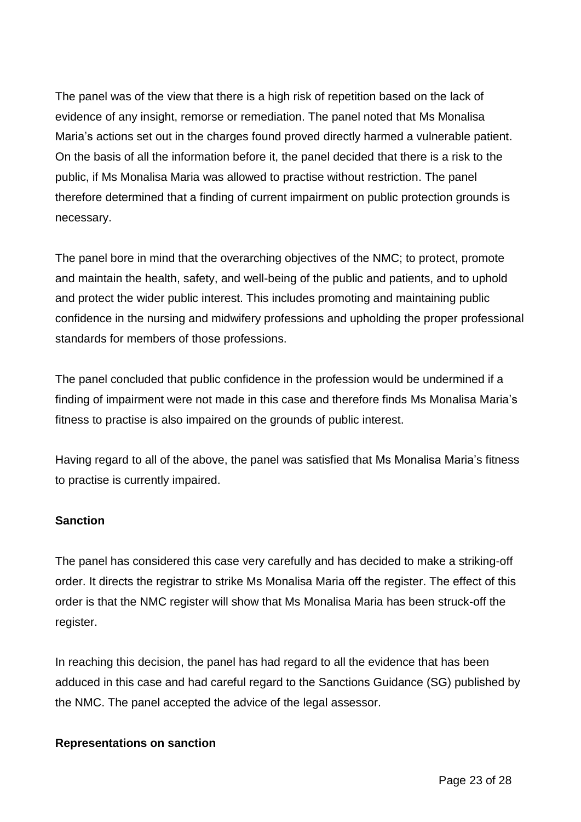The panel was of the view that there is a high risk of repetition based on the lack of evidence of any insight, remorse or remediation. The panel noted that Ms Monalisa Maria's actions set out in the charges found proved directly harmed a vulnerable patient. On the basis of all the information before it, the panel decided that there is a risk to the public, if Ms Monalisa Maria was allowed to practise without restriction. The panel therefore determined that a finding of current impairment on public protection grounds is necessary.

The panel bore in mind that the overarching objectives of the NMC; to protect, promote and maintain the health, safety, and well-being of the public and patients, and to uphold and protect the wider public interest. This includes promoting and maintaining public confidence in the nursing and midwifery professions and upholding the proper professional standards for members of those professions.

The panel concluded that public confidence in the profession would be undermined if a finding of impairment were not made in this case and therefore finds Ms Monalisa Maria's fitness to practise is also impaired on the grounds of public interest.

Having regard to all of the above, the panel was satisfied that Ms Monalisa Maria's fitness to practise is currently impaired.

# **Sanction**

The panel has considered this case very carefully and has decided to make a striking-off order. It directs the registrar to strike Ms Monalisa Maria off the register. The effect of this order is that the NMC register will show that Ms Monalisa Maria has been struck-off the register.

In reaching this decision, the panel has had regard to all the evidence that has been adduced in this case and had careful regard to the Sanctions Guidance (SG) published by the NMC. The panel accepted the advice of the legal assessor.

### **Representations on sanction**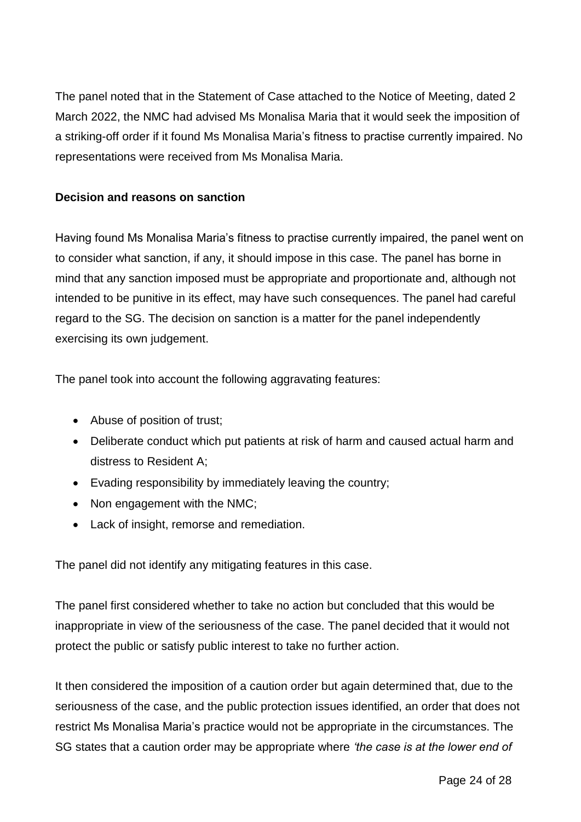The panel noted that in the Statement of Case attached to the Notice of Meeting, dated 2 March 2022, the NMC had advised Ms Monalisa Maria that it would seek the imposition of a striking-off order if it found Ms Monalisa Maria's fitness to practise currently impaired. No representations were received from Ms Monalisa Maria.

# **Decision and reasons on sanction**

Having found Ms Monalisa Maria's fitness to practise currently impaired, the panel went on to consider what sanction, if any, it should impose in this case. The panel has borne in mind that any sanction imposed must be appropriate and proportionate and, although not intended to be punitive in its effect, may have such consequences. The panel had careful regard to the SG. The decision on sanction is a matter for the panel independently exercising its own judgement.

The panel took into account the following aggravating features:

- Abuse of position of trust;
- Deliberate conduct which put patients at risk of harm and caused actual harm and distress to Resident A;
- Evading responsibility by immediately leaving the country;
- Non engagement with the NMC;
- Lack of insight, remorse and remediation.

The panel did not identify any mitigating features in this case.

The panel first considered whether to take no action but concluded that this would be inappropriate in view of the seriousness of the case. The panel decided that it would not protect the public or satisfy public interest to take no further action.

It then considered the imposition of a caution order but again determined that, due to the seriousness of the case, and the public protection issues identified, an order that does not restrict Ms Monalisa Maria's practice would not be appropriate in the circumstances. The SG states that a caution order may be appropriate where *'the case is at the lower end of*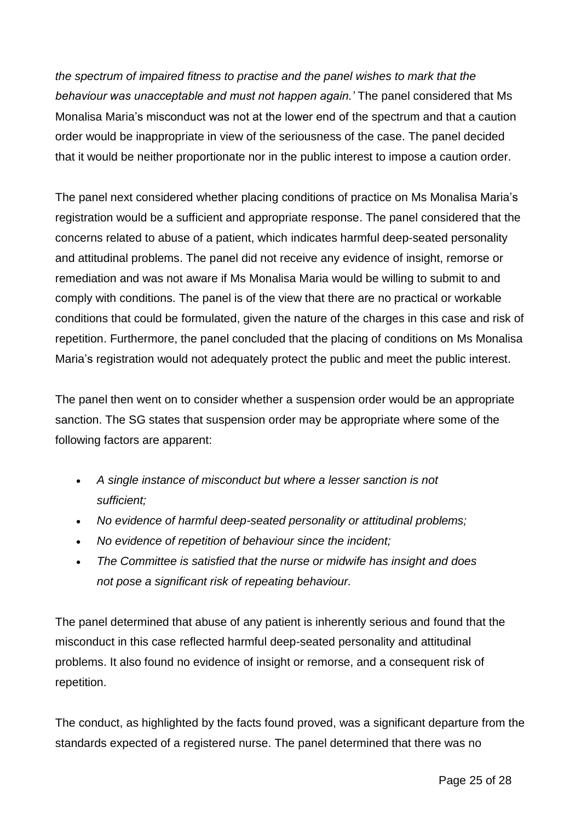*the spectrum of impaired fitness to practise and the panel wishes to mark that the behaviour was unacceptable and must not happen again.'* The panel considered that Ms Monalisa Maria's misconduct was not at the lower end of the spectrum and that a caution order would be inappropriate in view of the seriousness of the case. The panel decided that it would be neither proportionate nor in the public interest to impose a caution order.

The panel next considered whether placing conditions of practice on Ms Monalisa Maria's registration would be a sufficient and appropriate response. The panel considered that the concerns related to abuse of a patient, which indicates harmful deep-seated personality and attitudinal problems. The panel did not receive any evidence of insight, remorse or remediation and was not aware if Ms Monalisa Maria would be willing to submit to and comply with conditions. The panel is of the view that there are no practical or workable conditions that could be formulated, given the nature of the charges in this case and risk of repetition. Furthermore, the panel concluded that the placing of conditions on Ms Monalisa Maria's registration would not adequately protect the public and meet the public interest.

The panel then went on to consider whether a suspension order would be an appropriate sanction. The SG states that suspension order may be appropriate where some of the following factors are apparent:

- *A single instance of misconduct but where a lesser sanction is not sufficient;*
- *No evidence of harmful deep-seated personality or attitudinal problems;*
- *No evidence of repetition of behaviour since the incident;*
- *The Committee is satisfied that the nurse or midwife has insight and does not pose a significant risk of repeating behaviour.*

The panel determined that abuse of any patient is inherently serious and found that the misconduct in this case reflected harmful deep-seated personality and attitudinal problems. It also found no evidence of insight or remorse, and a consequent risk of repetition.

The conduct, as highlighted by the facts found proved, was a significant departure from the standards expected of a registered nurse. The panel determined that there was no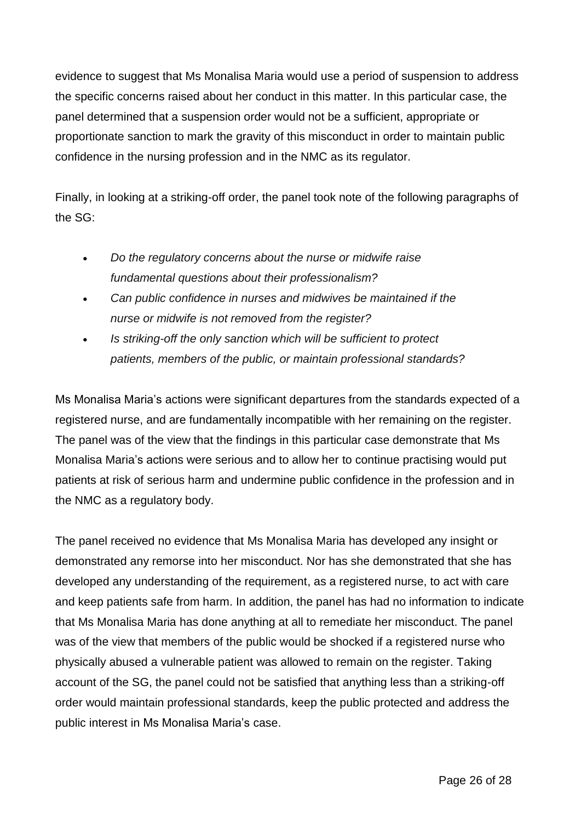evidence to suggest that Ms Monalisa Maria would use a period of suspension to address the specific concerns raised about her conduct in this matter. In this particular case, the panel determined that a suspension order would not be a sufficient, appropriate or proportionate sanction to mark the gravity of this misconduct in order to maintain public confidence in the nursing profession and in the NMC as its regulator.

Finally, in looking at a striking-off order, the panel took note of the following paragraphs of the SG:

- *Do the regulatory concerns about the nurse or midwife raise fundamental questions about their professionalism?*
- *Can public confidence in nurses and midwives be maintained if the nurse or midwife is not removed from the register?*
- *Is striking-off the only sanction which will be sufficient to protect patients, members of the public, or maintain professional standards?*

Ms Monalisa Maria's actions were significant departures from the standards expected of a registered nurse, and are fundamentally incompatible with her remaining on the register. The panel was of the view that the findings in this particular case demonstrate that Ms Monalisa Maria's actions were serious and to allow her to continue practising would put patients at risk of serious harm and undermine public confidence in the profession and in the NMC as a regulatory body.

The panel received no evidence that Ms Monalisa Maria has developed any insight or demonstrated any remorse into her misconduct. Nor has she demonstrated that she has developed any understanding of the requirement, as a registered nurse, to act with care and keep patients safe from harm. In addition, the panel has had no information to indicate that Ms Monalisa Maria has done anything at all to remediate her misconduct. The panel was of the view that members of the public would be shocked if a registered nurse who physically abused a vulnerable patient was allowed to remain on the register. Taking account of the SG, the panel could not be satisfied that anything less than a striking-off order would maintain professional standards, keep the public protected and address the public interest in Ms Monalisa Maria's case.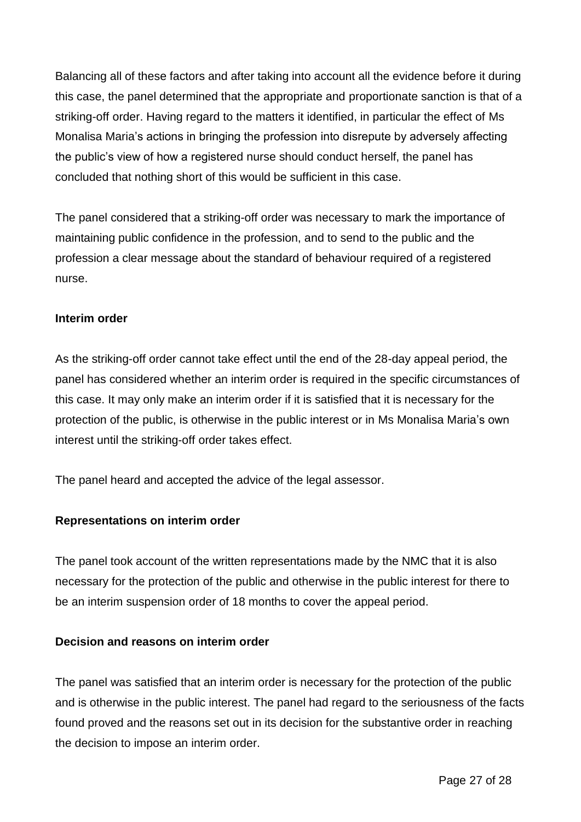Balancing all of these factors and after taking into account all the evidence before it during this case, the panel determined that the appropriate and proportionate sanction is that of a striking-off order. Having regard to the matters it identified, in particular the effect of Ms Monalisa Maria's actions in bringing the profession into disrepute by adversely affecting the public's view of how a registered nurse should conduct herself, the panel has concluded that nothing short of this would be sufficient in this case.

The panel considered that a striking-off order was necessary to mark the importance of maintaining public confidence in the profession, and to send to the public and the profession a clear message about the standard of behaviour required of a registered nurse.

### **Interim order**

As the striking-off order cannot take effect until the end of the 28-day appeal period, the panel has considered whether an interim order is required in the specific circumstances of this case. It may only make an interim order if it is satisfied that it is necessary for the protection of the public, is otherwise in the public interest or in Ms Monalisa Maria's own interest until the striking-off order takes effect.

The panel heard and accepted the advice of the legal assessor.

### **Representations on interim order**

The panel took account of the written representations made by the NMC that it is also necessary for the protection of the public and otherwise in the public interest for there to be an interim suspension order of 18 months to cover the appeal period.

### **Decision and reasons on interim order**

The panel was satisfied that an interim order is necessary for the protection of the public and is otherwise in the public interest. The panel had regard to the seriousness of the facts found proved and the reasons set out in its decision for the substantive order in reaching the decision to impose an interim order.